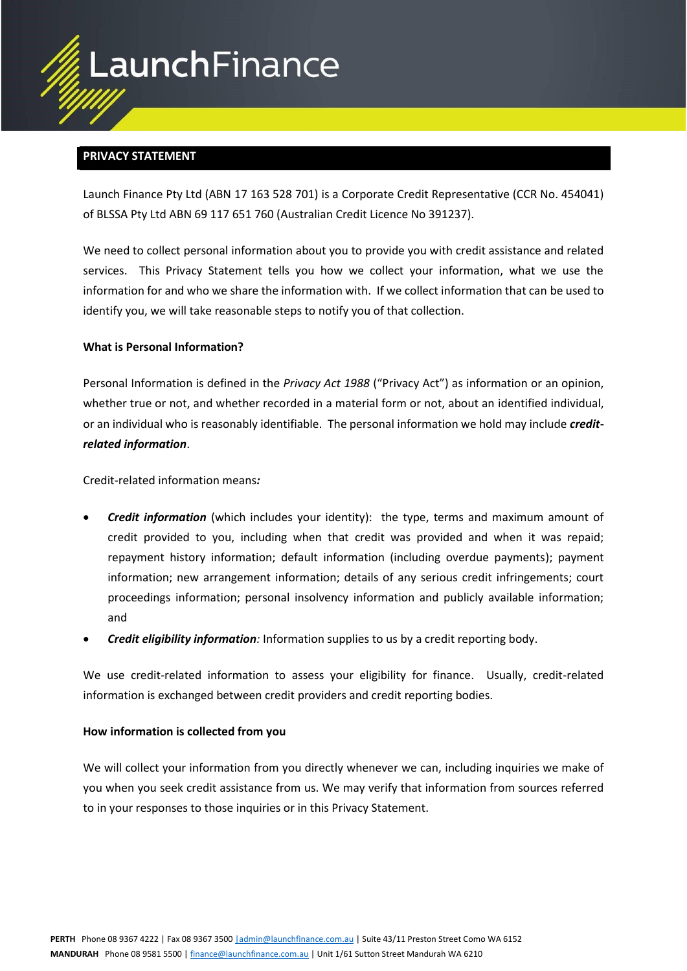

# **PRIVACY STATEMENT**

Launch Finance Pty Ltd (ABN 17 163 528 701) is a Corporate Credit Representative (CCR No. 454041) of BLSSA Pty Ltd ABN 69 117 651 760 (Australian Credit Licence No 391237).

We need to collect personal information about you to provide you with credit assistance and related services. This Privacy Statement tells you how we collect your information, what we use the information for and who we share the information with. If we collect information that can be used to identify you, we will take reasonable steps to notify you of that collection.

# **What is Personal Information?**

Personal Information is defined in the *Privacy Act 1988* ("Privacy Act") as information or an opinion, whether true or not, and whether recorded in a material form or not, about an identified individual, or an individual who is reasonably identifiable. The personal information we hold may include *creditrelated information*.

Credit-related information means*:*

- *Credit information* (which includes your identity): the type, terms and maximum amount of credit provided to you, including when that credit was provided and when it was repaid; repayment history information; default information (including overdue payments); payment information; new arrangement information; details of any serious credit infringements; court proceedings information; personal insolvency information and publicly available information; and
- *Credit eligibility information:* Information supplies to us by a credit reporting body.

We use credit-related information to assess your eligibility for finance. Usually, credit-related information is exchanged between credit providers and credit reporting bodies.

# **How information is collected from you**

We will collect your information from you directly whenever we can, including inquiries we make of you when you seek credit assistance from us. We may verify that information from sources referred to in your responses to those inquiries or in this Privacy Statement.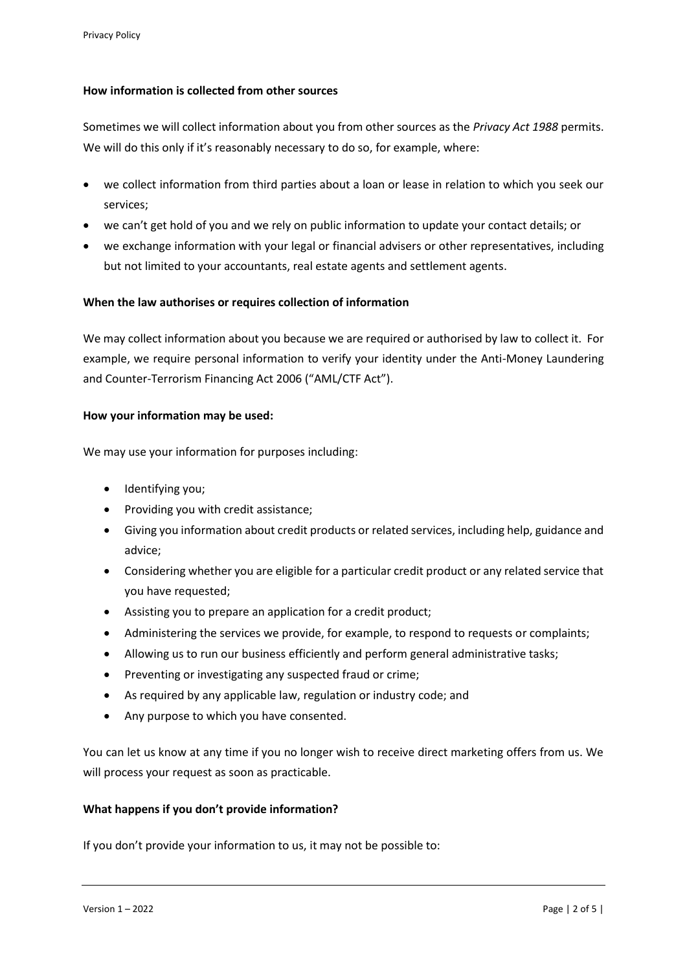# **How information is collected from other sources**

Sometimes we will collect information about you from other sources as the *Privacy Act 1988* permits. We will do this only if it's reasonably necessary to do so, for example, where:

- we collect information from third parties about a loan or lease in relation to which you seek our services;
- we can't get hold of you and we rely on public information to update your contact details; or
- we exchange information with your legal or financial advisers or other representatives, including but not limited to your accountants, real estate agents and settlement agents.

# **When the law authorises or requires collection of information**

We may collect information about you because we are required or authorised by law to collect it. For example, we require personal information to verify your identity under the Anti-Money Laundering and Counter-Terrorism Financing Act 2006 ("AML/CTF Act").

# **How your information may be used:**

We may use your information for purposes including:

- Identifying you;
- Providing you with credit assistance;
- Giving you information about credit products or related services, including help, guidance and advice;
- Considering whether you are eligible for a particular credit product or any related service that you have requested;
- Assisting you to prepare an application for a credit product;
- Administering the services we provide, for example, to respond to requests or complaints;
- Allowing us to run our business efficiently and perform general administrative tasks;
- Preventing or investigating any suspected fraud or crime;
- As required by any applicable law, regulation or industry code; and
- Any purpose to which you have consented.

You can let us know at any time if you no longer wish to receive direct marketing offers from us. We will process your request as soon as practicable.

# **What happens if you don't provide information?**

If you don't provide your information to us, it may not be possible to: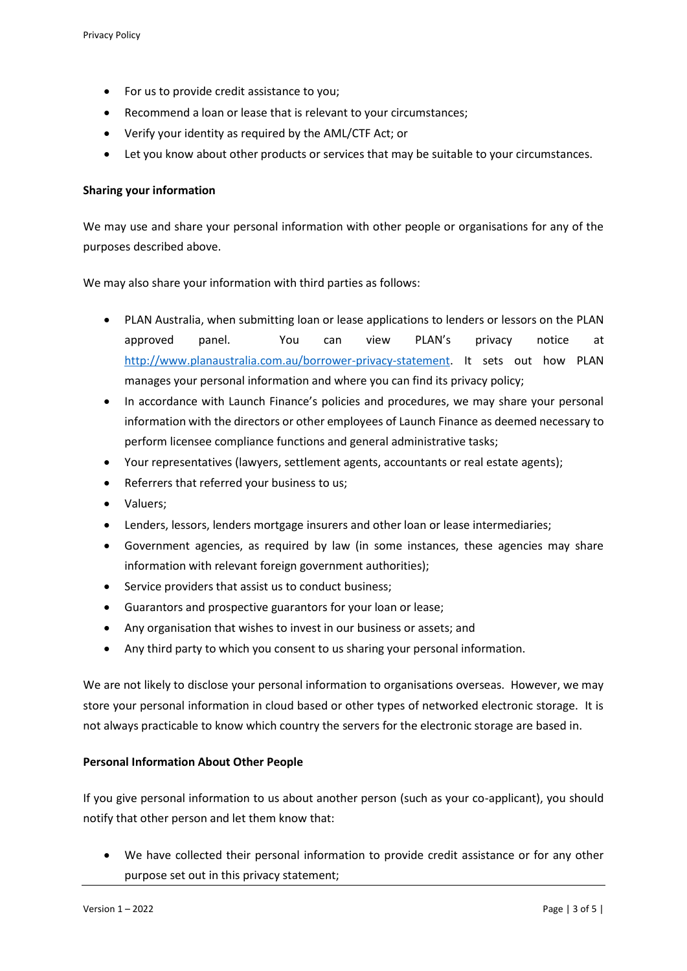- For us to provide credit assistance to you;
- Recommend a loan or lease that is relevant to your circumstances;
- Verify your identity as required by the AML/CTF Act; or
- Let you know about other products or services that may be suitable to your circumstances.

### **Sharing your information**

We may use and share your personal information with other people or organisations for any of the purposes described above.

We may also share your information with third parties as follows:

- PLAN Australia, when submitting loan or lease applications to lenders or lessors on the PLAN approved panel. You can view PLAN's privacy notice at [http://www.planaustralia.com.au/borrower-privacy-statement.](http://www.planaustralia.com.au/borrower-privacy-statement) It sets out how PLAN manages your personal information and where you can find its privacy policy;
- In accordance with Launch Finance's policies and procedures, we may share your personal information with the directors or other employees of Launch Finance as deemed necessary to perform licensee compliance functions and general administrative tasks;
- Your representatives (lawyers, settlement agents, accountants or real estate agents);
- Referrers that referred your business to us;
- Valuers;
- Lenders, lessors, lenders mortgage insurers and other loan or lease intermediaries;
- Government agencies, as required by law (in some instances, these agencies may share information with relevant foreign government authorities);
- Service providers that assist us to conduct business;
- Guarantors and prospective guarantors for your loan or lease;
- Any organisation that wishes to invest in our business or assets; and
- Any third party to which you consent to us sharing your personal information.

We are not likely to disclose your personal information to organisations overseas. However, we may store your personal information in cloud based or other types of networked electronic storage. It is not always practicable to know which country the servers for the electronic storage are based in.

# **Personal Information About Other People**

If you give personal information to us about another person (such as your co-applicant), you should notify that other person and let them know that:

• We have collected their personal information to provide credit assistance or for any other purpose set out in this privacy statement;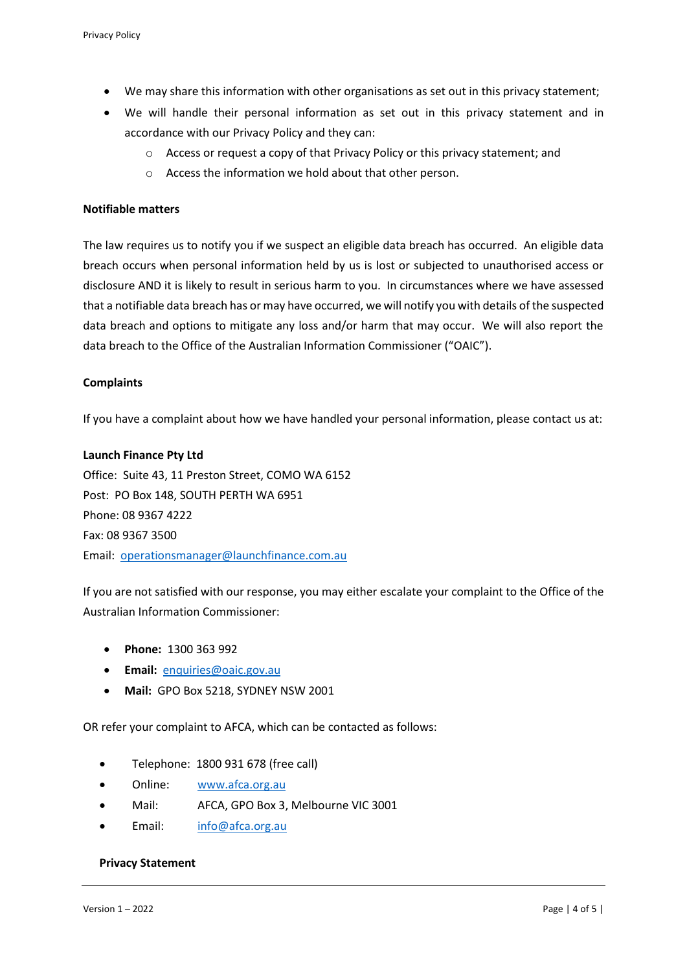- We may share this information with other organisations as set out in this privacy statement;
- We will handle their personal information as set out in this privacy statement and in accordance with our Privacy Policy and they can:
	- o Access or request a copy of that Privacy Policy or this privacy statement; and
	- o Access the information we hold about that other person.

### **Notifiable matters**

The law requires us to notify you if we suspect an eligible data breach has occurred. An eligible data breach occurs when personal information held by us is lost or subjected to unauthorised access or disclosure AND it is likely to result in serious harm to you. In circumstances where we have assessed that a notifiable data breach has or may have occurred, we will notify you with details of the suspected data breach and options to mitigate any loss and/or harm that may occur. We will also report the data breach to the Office of the Australian Information Commissioner ("OAIC").

### **Complaints**

If you have a complaint about how we have handled your personal information, please contact us at:

#### **Launch Finance Pty Ltd**

Office: Suite 43, 11 Preston Street, COMO WA 6152 Post: PO Box 148, SOUTH PERTH WA 6951 Phone: 08 9367 4222 Fax: 08 9367 3500 Email: [operationsmanager@launchfinance.com.au](mailto:operationsmanager@launchfinance.com.au)

If you are not satisfied with our response, you may either escalate your complaint to the Office of the Australian Information Commissioner:

- **Phone:** 1300 363 992
- **Email:** [enquiries@oaic.gov.au](mailto:enquiries@oaic.gov.au)
- **Mail:** GPO Box 5218, SYDNEY NSW 2001

OR refer your complaint to AFCA, which can be contacted as follows:

- Telephone: 1800 931 678 (free call)
- Online: [www.afca.org.au](http://www.afca.org.au/)
- Mail: AFCA, GPO Box 3, Melbourne VIC 3001
- Email: [info@afca.org.au](mailto:info@afca.org.au)

#### **Privacy Statement**